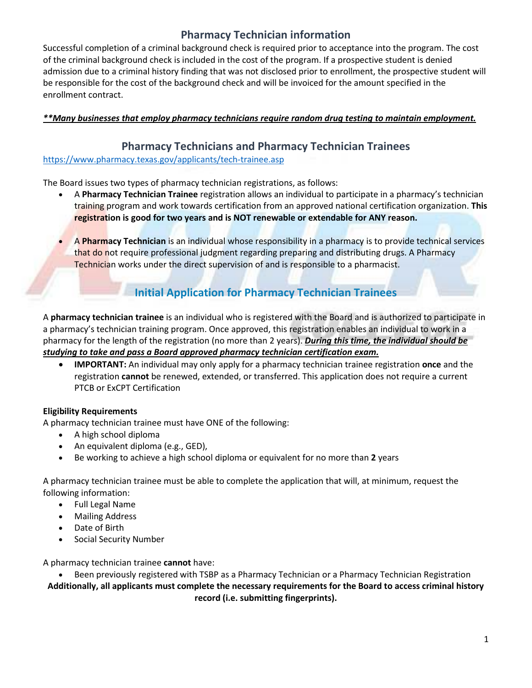## **Pharmacy Technician information**

Successful completion of a criminal background check is required prior to acceptance into the program. The cost of the criminal background check is included in the cost of the program. If a prospective student is denied admission due to a criminal history finding that was not disclosed prior to enrollment, the prospective student will be responsible for the cost of the background check and will be invoiced for the amount specified in the enrollment contract.

### *\*\*Many businesses that employ pharmacy technicians require random drug testing to maintain employment.*

## **Pharmacy Technicians and Pharmacy Technician Trainees**

<https://www.pharmacy.texas.gov/applicants/tech-trainee.asp>

The Board issues two types of pharmacy technician registrations, as follows:

- A **Pharmacy Technician Trainee** registration allows an individual to participate in a pharmacy's technician training program and work towards certification from an approved national certification organization. **This registration is good for two years and is NOT renewable or extendable for ANY reason.**
- A **Pharmacy Technician** is an individual whose responsibility in a pharmacy is to provide technical services that do not require professional judgment regarding preparing and distributing drugs. A Pharmacy Technician works under the direct supervision of and is responsible to a pharmacist.

# **Initial Application for Pharmacy Technician Trainees**

A **pharmacy technician trainee** is an individual who is registered with the Board and is authorized to participate in a pharmacy's technician training program. Once approved, this registration enables an individual to work in a pharmacy for the length of the registration (no more than 2 years). *During this time, the individual should be studying to take and pass a Board approved pharmacy technician certification exam.* 

• **IMPORTANT:** An individual may only apply for a pharmacy technician trainee registration **once** and the registration **cannot** be renewed, extended, or transferred. This application does not require a current PTCB or ExCPT Certification

#### **Eligibility Requirements**

A pharmacy technician trainee must have ONE of the following:

- A high school diploma
- An equivalent diploma (e.g., GED),
- Be working to achieve a high school diploma or equivalent for no more than **2** years

A pharmacy technician trainee must be able to complete the application that will, at minimum, request the following information:

- Full Legal Name
- Mailing Address
- Date of Birth
- Social Security Number

A pharmacy technician trainee **cannot** have:

• Been previously registered with TSBP as a Pharmacy Technician or a Pharmacy Technician Registration

**Additionally, all applicants must complete the necessary requirements for the Board to access criminal history record (i.e. submitting fingerprints).**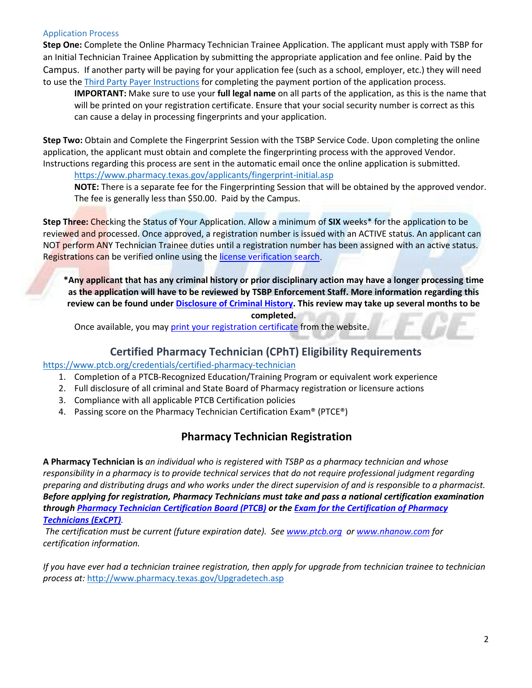#### Application Process

**Step One:** Complete the Online Pharmacy Technician Trainee Application. The applicant must apply with TSBP for an Initial Technician Trainee Application by submitting the appropriate application and fee online. Paid by the Campus. If another party will be paying for your application fee (such as a school, employer, etc.) they will need to use the [Third Party Payer Instructions](https://www.pharmacy.texas.gov/files_pdf/third-party-payer-inst.pdf) for completing the payment portion of the application process.

**IMPORTANT:** Make sure to use your **full legal name** on all parts of the application, as this is the name that will be printed on your registration certificate. Ensure that your social security number is correct as this can cause a delay in processing fingerprints and your application.

**Step Two:** Obtain and Complete the Fingerprint Session with the TSBP Service Code. Upon completing the online application, the applicant must obtain and complete the fingerprinting process with the approved Vendor. Instructions regarding this process are sent in the automatic email once the online application is submitted.

<https://www.pharmacy.texas.gov/applicants/fingerprint-initial.asp>

**NOTE:** There is a separate fee for the Fingerprinting Session that will be obtained by the approved vendor. The fee is generally less than \$50.00. Paid by the Campus.

**Step Three:** Checking the Status of Your Application. Allow a minimum of **SIX** weeks\* for the application to be reviewed and processed. Once approved, a registration number is issued with an ACTIVE status. An applicant can NOT perform ANY Technician Trainee duties until a registration number has been assigned with an active status. Registrations can be verified online using th[e license verification search.](https://www.pharmacy.texas.gov/dbsearch/tech_search.asp)

**\*Any applicant that has any criminal history or prior disciplinary action may have a longer processing time as the application will have to be reviewed by TSBP Enforcement Staff. More information regarding this review can be found unde[r Disclosure of Criminal History.](https://www.pharmacy.texas.gov/criminalhistory.asp) This review may take up several months to be completed.**

Once available, you ma[y print your registration certificate](https://www.pharmacy.texas.gov/certificates/printing/index.asp) from the website.

## **Certified Pharmacy Technician (CPhT) Eligibility Requirements**

#### <https://www.ptcb.org/credentials/certified-pharmacy-technician>

- 1. Completion of a PTCB-Recognized Education/Training Program or equivalent work experience
- 2. Full disclosure of all criminal and State Board of Pharmacy registration or licensure actions
- 3. Compliance with all applicable PTCB Certification policies
- 4. Passing score on the Pharmacy Technician Certification Exam® (PTCE®)

## **Pharmacy Technician Registration**

**A Pharmacy Technician is** *an individual who is registered with TSBP as a pharmacy technician and whose responsibility in a pharmacy is to provide technical services that do not require professional judgment regarding preparing and distributing drugs and who works under the direct supervision of and is responsible to a pharmacist. Before applying for registration, Pharmacy Technicians must take and pass a national certification examination through [Pharmacy Technician Certification Board \(PTCB\)](http://www.ptcb.org/) or the [Exam for the Certification of Pharmacy](http://www.nhanow.com/certifications/pharmacy-technician)  [Technicians](http://www.nhanow.com/certifications/pharmacy-technician) (ExCPT).* 

*The certification must be current (future expiration date). See [www.ptcb.org](http://www.ptcb.org/) or [www.nhanow.com](http://www.nhanow.com/) for certification information.*

*If you have ever had a technician trainee registration, then apply for upgrade from technician trainee to technician process at:* <http://www.pharmacy.texas.gov/Upgradetech.asp>